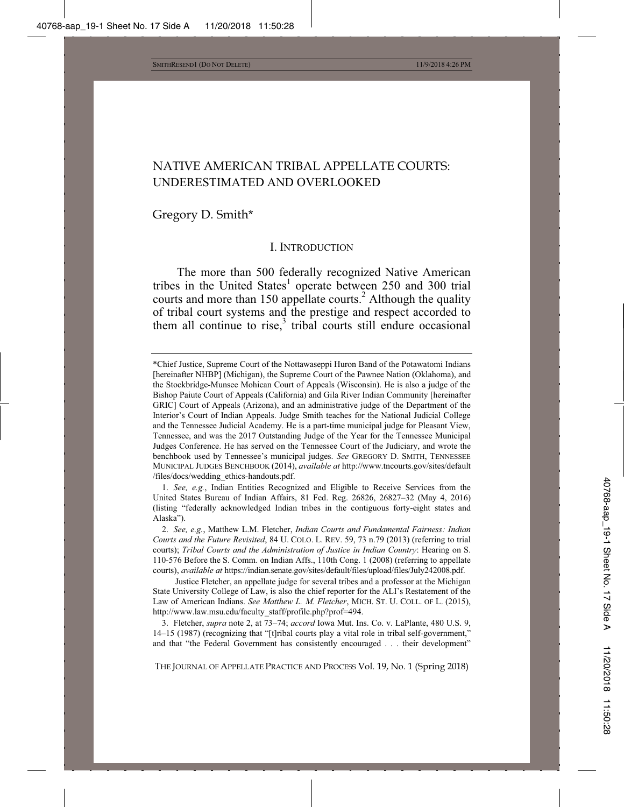## NATIVE AMERICAN TRIBAL APPELLATE COURTS: UNDERESTIMATED AND OVERLOOKED

Gregory D. Smith\*

#### I. INTRODUCTION

The more than 500 federally recognized Native American tribes in the United States<sup>1</sup> operate between 250 and 300 trial courts and more than 150 appellate courts.<sup>2</sup> Although the quality of tribal court systems and the prestige and respect accorded to them all continue to rise, $3$  tribal courts still endure occasional

1. *See, e.g.*, Indian Entities Recognized and Eligible to Receive Services from the United States Bureau of Indian Affairs, 81 Fed. Reg. 26826, 26827–32 (May 4, 2016) (listing "federally acknowledged Indian tribes in the contiguous forty-eight states and Alaska").

THE JOURNAL OF APPELLATE PRACTICE AND PROCESS Vol. 19, No. 1 (Spring 2018)

<sup>\*</sup>Chief Justice, Supreme Court of the Nottawaseppi Huron Band of the Potawatomi Indians [hereinafter NHBP] (Michigan), the Supreme Court of the Pawnee Nation (Oklahoma), and the Stockbridge-Munsee Mohican Court of Appeals (Wisconsin). He is also a judge of the Bishop Paiute Court of Appeals (California) and Gila River Indian Community [hereinafter GRIC] Court of Appeals (Arizona), and an administrative judge of the Department of the Interior's Court of Indian Appeals. Judge Smith teaches for the National Judicial College and the Tennessee Judicial Academy. He is a part-time municipal judge for Pleasant View, Tennessee, and was the 2017 Outstanding Judge of the Year for the Tennessee Municipal Judges Conference. He has served on the Tennessee Court of the Judiciary, and wrote the benchbook used by Tennessee's municipal judges. *See* GREGORY D. SMITH, TENNESSEE MUNICIPAL JUDGES BENCHBOOK (2014), *available at* http://www.tncourts.gov/sites/default /files/docs/wedding\_ethics-handouts.pdf.

<sup>2.</sup> *See, e.g.*, Matthew L.M. Fletcher, *Indian Courts and Fundamental Fairness: Indian Courts and the Future Revisited*, 84 U. COLO. L. REV. 59, 73 n.79 (2013) (referring to trial courts); *Tribal Courts and the Administration of Justice in Indian Country*: Hearing on S. 110-576 Before the S. Comm. on Indian Affs., 110th Cong. 1 (2008) (referring to appellate courts), *available at* https://indian.senate.gov/sites/default/files/upload/files/July242008.pdf.

Justice Fletcher, an appellate judge for several tribes and a professor at the Michigan State University College of Law, is also the chief reporter for the ALI's Restatement of the Law of American Indians. *See Matthew L. M. Fletcher*, MICH. ST. U. COLL. OF L. (2015), http://www.law.msu.edu/faculty\_staff/profile.php?prof=494.

<sup>3.</sup> Fletcher, *supra* note 2, at 73–74; *accord* Iowa Mut. Ins. Co. v. LaPlante, 480 U.S. 9, 14–15 (1987) (recognizing that "[t]ribal courts play a vital role in tribal self-government," and that "the Federal Government has consistently encouraged . . . their development"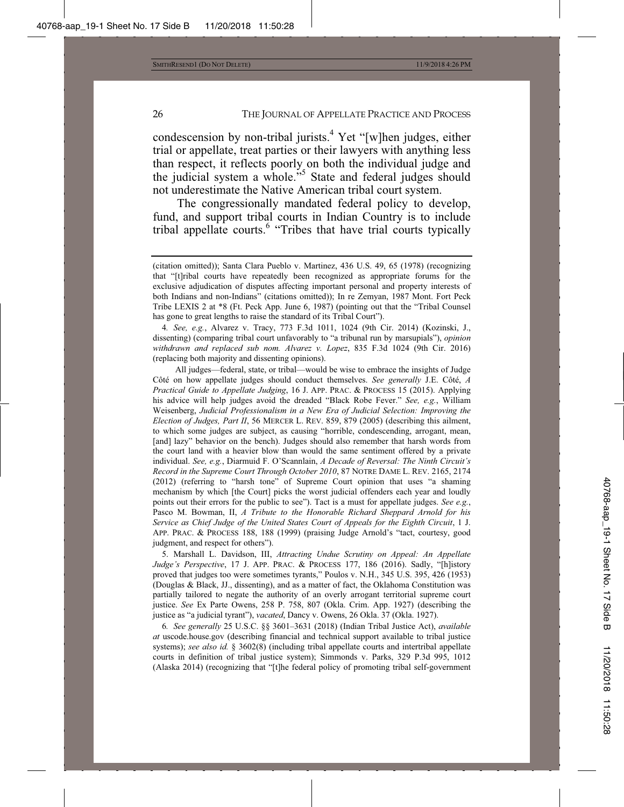condescension by non-tribal jurists.<sup>4</sup> Yet "[w]hen judges, either trial or appellate, treat parties or their lawyers with anything less than respect, it reflects poorly on both the individual judge and the judicial system a whole."<sup>5</sup> State and federal judges should not underestimate the Native American tribal court system.

The congressionally mandated federal policy to develop, fund, and support tribal courts in Indian Country is to include tribal appellate courts.<sup>6</sup> "Tribes that have trial courts typically

4*. See, e.g.*, Alvarez v. Tracy, 773 F.3d 1011, 1024 (9th Cir. 2014) (Kozinski, J., dissenting) (comparing tribal court unfavorably to "a tribunal run by marsupials"), *opinion withdrawn and replaced sub nom. Alvarez v. Lopez*, 835 F.3d 1024 (9th Cir. 2016) (replacing both majority and dissenting opinions).

All judges—federal, state, or tribal—would be wise to embrace the insights of Judge Côté on how appellate judges should conduct themselves. *See generally* J.E. Côté, *A Practical Guide to Appellate Judging*, 16 J. APP. PRAC.&PROCESS 15 (2015). Applying his advice will help judges avoid the dreaded "Black Robe Fever." *See, e.g.*, William Weisenberg, *Judicial Professionalism in a New Era of Judicial Selection: Improving the Election of Judges, Part II*, 56 MERCER L. REV. 859, 879 (2005) (describing this ailment, to which some judges are subject, as causing "horrible, condescending, arrogant, mean, [and] lazy" behavior on the bench). Judges should also remember that harsh words from the court land with a heavier blow than would the same sentiment offered by a private individual. *See, e.g.*, Diarmuid F. O'Scannlain, *A Decade of Reversal: The Ninth Circuit's Record in the Supreme Court Through October 2010*, 87 NOTRE DAME L. REV. 2165, 2174 (2012) (referring to "harsh tone" of Supreme Court opinion that uses "a shaming mechanism by which [the Court] picks the worst judicial offenders each year and loudly points out their errors for the public to see"). Tact is a must for appellate judges. *See e.g.*, Pasco M. Bowman, II, *A Tribute to the Honorable Richard Sheppard Arnold for his Service as Chief Judge of the United States Court of Appeals for the Eighth Circuit*, 1 J. APP. PRAC.&PROCESS 188, 188 (1999) (praising Judge Arnold's "tact, courtesy, good judgment, and respect for others").

5. Marshall L. Davidson, III, *Attracting Undue Scrutiny on Appeal: An Appellate Judge's Perspective*, 17 J. APP. PRAC. & PROCESS 177, 186 (2016). Sadly, "[h]istory proved that judges too were sometimes tyrants," Poulos v. N.H., 345 U.S. 395, 426 (1953) (Douglas & Black, JJ., dissenting), and as a matter of fact, the Oklahoma Constitution was partially tailored to negate the authority of an overly arrogant territorial supreme court justice. *See* Ex Parte Owens, 258 P. 758, 807 (Okla. Crim. App. 1927) (describing the justice as "a judicial tyrant"), *vacated*, Dancy v. Owens, 26 Okla. 37 (Okla. 1927).

6*. See generally* 25 U.S.C. §§ 3601–3631 (2018) (Indian Tribal Justice Act), *available at* uscode.house.gov (describing financial and technical support available to tribal justice systems); *see also id.* § 3602(8) (including tribal appellate courts and intertribal appellate courts in definition of tribal justice system); Simmonds v. Parks, 329 P.3d 995, 1012 (Alaska 2014) (recognizing that "[t]he federal policy of promoting tribal self-government

<sup>(</sup>citation omitted)); Santa Clara Pueblo v. Martinez, 436 U.S. 49, 65 (1978) (recognizing that "[t]ribal courts have repeatedly been recognized as appropriate forums for the exclusive adjudication of disputes affecting important personal and property interests of both Indians and non-Indians" (citations omitted)); In re Zemyan, 1987 Mont. Fort Peck Tribe LEXIS 2 at \*8 (Ft. Peck App. June 6, 1987) (pointing out that the "Tribal Counsel has gone to great lengths to raise the standard of its Tribal Court").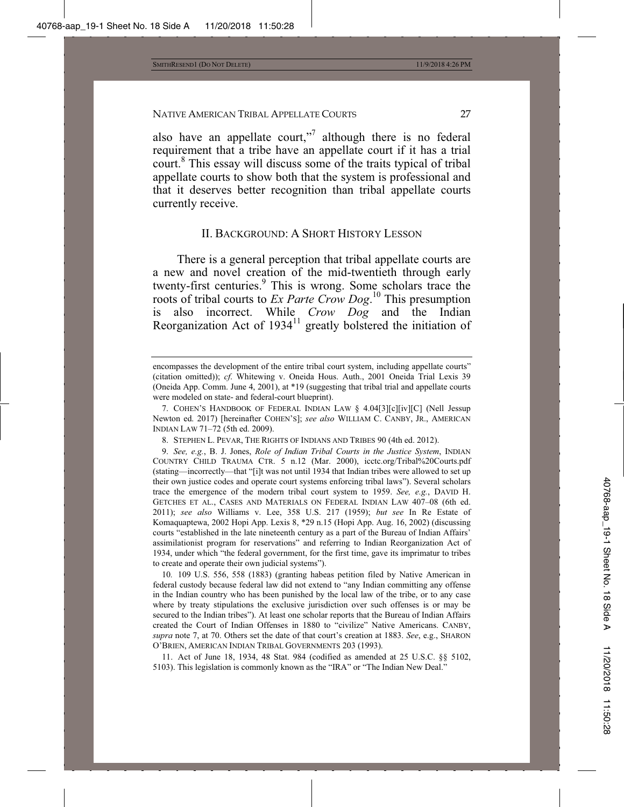also have an appellate court,"<sup>7</sup> although there is no federal requirement that a tribe have an appellate court if it has a trial court.<sup>8</sup> This essay will discuss some of the traits typical of tribal appellate courts to show both that the system is professional and that it deserves better recognition than tribal appellate courts currently receive.

## II. BACKGROUND: A SHORT HISTORY LESSON

There is a general perception that tribal appellate courts are a new and novel creation of the mid-twentieth through early twenty-first centuries.<sup>9</sup> This is wrong. Some scholars trace the roots of tribal courts to *Ex Parte Crow Dog*. 10 This presumption is also incorrect. While *Crow Dog* and the Indian Reorganization Act of  $1934<sup>11</sup>$  greatly bolstered the initiation of

9. *See, e.g.*, B. J. Jones, *Role of Indian Tribal Courts in the Justice System*, INDIAN COUNTRY CHILD TRAUMA CTR. 5 n.12 (Mar. 2000), icctc.org/Tribal%20Courts.pdf (stating—incorrectly—that "[i]t was not until 1934 that Indian tribes were allowed to set up their own justice codes and operate court systems enforcing tribal laws"). Several scholars trace the emergence of the modern tribal court system to 1959. *See, e.g.*, DAVID H. GETCHES ET AL., CASES AND MATERIALS ON FEDERAL INDIAN LAW 407–08 (6th ed. 2011); *see also* Williams v. Lee, 358 U.S. 217 (1959); *but see* In Re Estate of Komaquaptewa, 2002 Hopi App. Lexis 8, \*29 n.15 (Hopi App. Aug. 16, 2002) (discussing courts "established in the late nineteenth century as a part of the Bureau of Indian Affairs' assimilationist program for reservations" and referring to Indian Reorganization Act of 1934, under which "the federal government, for the first time, gave its imprimatur to tribes to create and operate their own judicial systems").

10*.* 109 U.S. 556, 558 (1883) (granting habeas petition filed by Native American in federal custody because federal law did not extend to "any Indian committing any offense in the Indian country who has been punished by the local law of the tribe, or to any case where by treaty stipulations the exclusive jurisdiction over such offenses is or may be secured to the Indian tribes"). At least one scholar reports that the Bureau of Indian Affairs created the Court of Indian Offenses in 1880 to "civilize" Native Americans. CANBY, *supra* note 7, at 70. Others set the date of that court's creation at 1883. *See*, e.g., SHARON O'BRIEN, AMERICAN INDIAN TRIBAL GOVERNMENTS 203 (1993).

11. Act of June 18, 1934, 48 Stat. 984 (codified as amended at 25 U.S.C. §§ 5102, 5103). This legislation is commonly known as the "IRA" or "The Indian New Deal."

encompasses the development of the entire tribal court system, including appellate courts" (citation omitted)); *cf*. Whitewing v. Oneida Hous. Auth., 2001 Oneida Trial Lexis 39 (Oneida App. Comm. June 4, 2001), at \*19 (suggesting that tribal trial and appellate courts were modeled on state- and federal-court blueprint).

<sup>7.</sup> COHEN'S HANDBOOK OF FEDERAL INDIAN LAW § 4.04[3][c][iv][C] (Nell Jessup Newton ed. 2017) [hereinafter COHEN'S]; *see also* WILLIAM C. CANBY, JR., AMERICAN INDIAN LAW 71–72 (5th ed. 2009).

<sup>8.</sup> STEPHEN L. PEVAR, THE RIGHTS OF INDIANS AND TRIBES 90 (4th ed. 2012).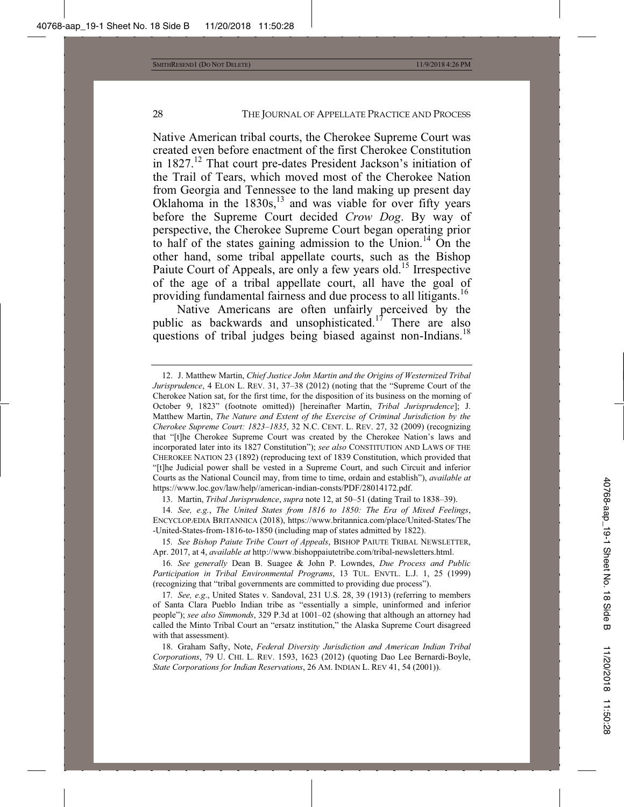Native American tribal courts, the Cherokee Supreme Court was created even before enactment of the first Cherokee Constitution in  $1827<sup>12</sup>$  That court pre-dates President Jackson's initiation of the Trail of Tears, which moved most of the Cherokee Nation from Georgia and Tennessee to the land making up present day Oklahoma in the  $1830s$ ,<sup>13</sup> and was viable for over fifty years before the Supreme Court decided *Crow Dog*. By way of perspective, the Cherokee Supreme Court began operating prior to half of the states gaining admission to the Union.<sup>14</sup> On the other hand, some tribal appellate courts, such as the Bishop Paiute Court of Appeals, are only a few years old.<sup>15</sup> Irrespective of the age of a tribal appellate court, all have the goal of providing fundamental fairness and due process to all litigants.16

Native Americans are often unfairly perceived by the public as backwards and unsophisticated.<sup>17</sup> There are also questions of tribal judges being biased against non-Indians.<sup>18</sup>

13. Martin, *Tribal Jurisprudence*, *supra* note 12, at 50–51 (dating Trail to 1838–39).

14*. See, e.g.*, *The United States from 1816 to 1850: The Era of Mixed Feelings*, ENCYCLOPÆDIA BRITANNICA (2018), https://www.britannica.com/place/United-States/The -United-States-from-1816-to-1850 (including map of states admitted by 1822).

<sup>12.</sup> J. Matthew Martin, *Chief Justice John Martin and the Origins of Westernized Tribal Jurisprudence*, 4 ELON L. REV. 31, 37–38 (2012) (noting that the "Supreme Court of the Cherokee Nation sat, for the first time, for the disposition of its business on the morning of October 9, 1823" (footnote omitted)) [hereinafter Martin, *Tribal Jurisprudence*]; J. Matthew Martin, *The Nature and Extent of the Exercise of Criminal Jurisdiction by the Cherokee Supreme Court: 1823–1835*, 32 N.C. CENT. L. REV. 27, 32 (2009) (recognizing that "[t]he Cherokee Supreme Court was created by the Cherokee Nation's laws and incorporated later into its 1827 Constitution"); *see also* CONSTITUTION AND LAWS OF THE CHEROKEE NATION 23 (1892) (reproducing text of 1839 Constitution, which provided that "[t]he Judicial power shall be vested in a Supreme Court, and such Circuit and inferior Courts as the National Council may, from time to time, ordain and establish"), *available at* https://www.loc.gov/law/help//american-indian-consts/PDF/28014172.pdf.

<sup>15</sup>*. See Bishop Paiute Tribe Court of Appeals*, BISHOP PAIUTE TRIBAL NEWSLETTER, Apr. 2017, at 4, *available at* http://www.bishoppaiutetribe.com/tribal-newsletters.html.

<sup>16</sup>*. See generally* Dean B. Suagee & John P. Lowndes, *Due Process and Public Participation in Tribal Environmental Programs*, 13 TUL. ENVTL. L.J. 1, 25 (1999) (recognizing that "tribal governments are committed to providing due process").

<sup>17</sup>*. See, e.g*., United States v. Sandoval, 231 U.S. 28, 39 (1913) (referring to members of Santa Clara Pueblo Indian tribe as "essentially a simple, uninformed and inferior people"); *see also Simmonds*, 329 P.3d at 1001–02 (showing that although an attorney had called the Minto Tribal Court an "ersatz institution," the Alaska Supreme Court disagreed with that assessment).

<sup>18.</sup> Graham Safty, Note, *Federal Diversity Jurisdiction and American Indian Tribal Corporations*, 79 U. CHI. L. REV. 1593, 1623 (2012) (quoting Dao Lee Bernardi-Boyle, *State Corporations for Indian Reservations*, 26 AM. INDIAN L. REV 41, 54 (2001)).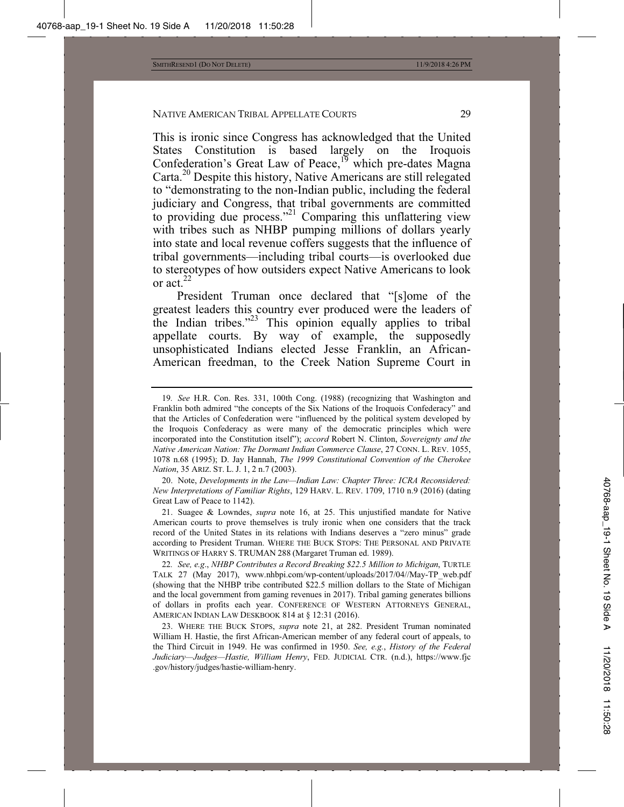This is ironic since Congress has acknowledged that the United States Constitution is based largely on the Iroquois Confederation's Great Law of Peace,<sup>19</sup> which pre-dates Magna Carta.20 Despite this history, Native Americans are still relegated to "demonstrating to the non-Indian public, including the federal judiciary and Congress, that tribal governments are committed to providing due process."<sup>21</sup> Comparing this unflattering view with tribes such as NHBP pumping millions of dollars yearly into state and local revenue coffers suggests that the influence of tribal governments—including tribal courts—is overlooked due to stereotypes of how outsiders expect Native Americans to look or act. $^{22}$ 

President Truman once declared that "[s]ome of the greatest leaders this country ever produced were the leaders of the Indian tribes."23 This opinion equally applies to tribal appellate courts. By way of example, the supposedly unsophisticated Indians elected Jesse Franklin, an African-American freedman, to the Creek Nation Supreme Court in

20. Note, *Developments in the Law—Indian Law: Chapter Three: ICRA Reconsidered: New Interpretations of Familiar Rights*, 129 HARV. L. REV. 1709, 1710 n.9 (2016) (dating Great Law of Peace to 1142).

21. Suagee & Lowndes, *supra* note 16, at 25. This unjustified mandate for Native American courts to prove themselves is truly ironic when one considers that the track record of the United States in its relations with Indians deserves a "zero minus" grade according to President Truman. WHERE THE BUCK STOPS: THE PERSONAL AND PRIVATE WRITINGS OF HARRY S. TRUMAN 288 (Margaret Truman ed. 1989).

22*. See, e.g*., *NHBP Contributes a Record Breaking \$22.5 Million to Michigan*, TURTLE TALK 27 (May 2017), www.nhbpi.com/wp-content/uploads/2017/04//May-TP\_web.pdf (showing that the NHBP tribe contributed \$22.5 million dollars to the State of Michigan and the local government from gaming revenues in 2017). Tribal gaming generates billions of dollars in profits each year. CONFERENCE OF WESTERN ATTORNEYS GENERAL, AMERICAN INDIAN LAW DESKBOOK 814 at § 12:31 (2016).

23. WHERE THE BUCK STOPS, *supra* note 21, at 282. President Truman nominated William H. Hastie, the first African-American member of any federal court of appeals, to the Third Circuit in 1949. He was confirmed in 1950. *See, e.g.*, *History of the Federal Judiciary—Judges—Hastie, William Henry*, FED. JUDICIAL CTR. (n.d.), https://www.fjc .gov/history/judges/hastie-william-henry.

<sup>19</sup>*. See* H.R. Con. Res. 331, 100th Cong. (1988) (recognizing that Washington and Franklin both admired "the concepts of the Six Nations of the Iroquois Confederacy" and that the Articles of Confederation were "influenced by the political system developed by the Iroquois Confederacy as were many of the democratic principles which were incorporated into the Constitution itself"); *accord* Robert N. Clinton, *Sovereignty and the Native American Nation: The Dormant Indian Commerce Clause*, 27 CONN. L. REV. 1055, 1078 n.68 (1995); D. Jay Hannah, *The 1999 Constitutional Convention of the Cherokee Nation*, 35 ARIZ. ST. L. J. 1, 2 n.7 (2003).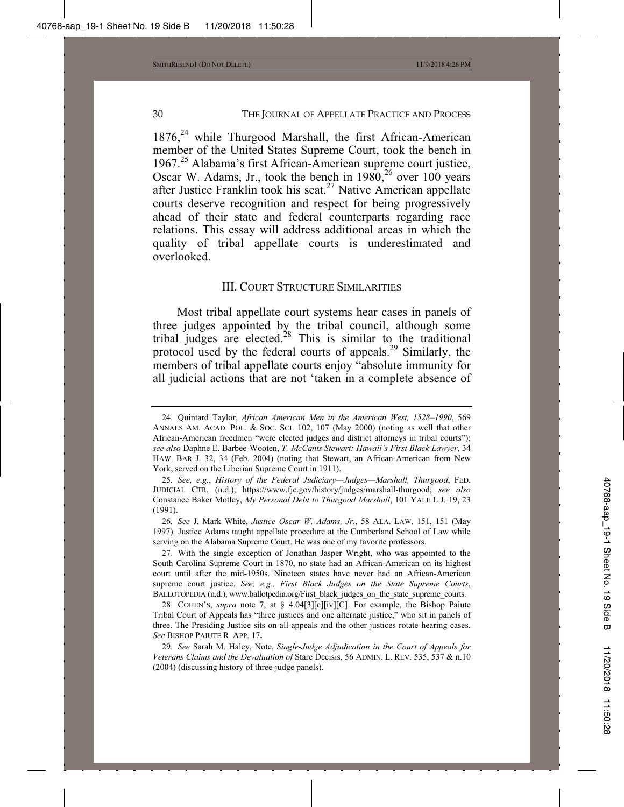$1876<sub>1</sub><sup>24</sup>$  while Thurgood Marshall, the first African-American member of the United States Supreme Court, took the bench in 1967.25 Alabama's first African-American supreme court justice, Oscar W. Adams, Jr., took the bench in  $1980$ ,<sup>26</sup> over 100 years after Justice Franklin took his seat.<sup>27</sup> Native American appellate courts deserve recognition and respect for being progressively ahead of their state and federal counterparts regarding race relations. This essay will address additional areas in which the quality of tribal appellate courts is underestimated and overlooked.

#### III. COURT STRUCTURE SIMILARITIES

Most tribal appellate court systems hear cases in panels of three judges appointed by the tribal council, although some tribal judges are elected.<sup>28</sup> This is similar to the traditional protocol used by the federal courts of appeals.<sup>29</sup> Similarly, the members of tribal appellate courts enjoy "absolute immunity for all judicial actions that are not 'taken in a complete absence of

25*. See, e.g.*, *History of the Federal Judiciary—Judges—Marshall, Thurgood*, FED. JUDICIAL CTR. (n.d.), https://www.fjc.gov/history/judges/marshall-thurgood; *see also* Constance Baker Motley, *My Personal Debt to Thurgood Marshall*, 101 YALE L.J. 19, 23 (1991).

26*. See* J. Mark White, *Justice Oscar W. Adams, Jr.*, 58 ALA. LAW. 151, 151 (May 1997). Justice Adams taught appellate procedure at the Cumberland School of Law while serving on the Alabama Supreme Court. He was one of my favorite professors.

27. With the single exception of Jonathan Jasper Wright, who was appointed to the South Carolina Supreme Court in 1870, no state had an African-American on its highest court until after the mid-1950s. Nineteen states have never had an African-American supreme court justice. *See, e.g., First Black Judges on the State Supreme Courts*, BALLOTOPEDIA (n.d.), www.ballotpedia.org/First\_black\_judges\_on\_the\_state\_supreme\_courts.

28. COHEN'S, *supra* note 7, at § 4.04[3][c][iv][C]. For example, the Bishop Paiute Tribal Court of Appeals has "three justices and one alternate justice," who sit in panels of three. The Presiding Justice sits on all appeals and the other justices rotate hearing cases. *See* BISHOP PAIUTE R. APP. 17**.**

29*. See* Sarah M. Haley, Note, *Single-Judge Adjudication in the Court of Appeals for Veterans Claims and the Devaluation of* Stare Decisis, 56 ADMIN. L. REV. 535, 537 & n.10 (2004) (discussing history of three-judge panels).

<sup>24.</sup> Quintard Taylor, *African American Men in the American West, 1528–1990*, 569 ANNALS AM. ACAD. POL. & SOC. SCI. 102, 107 (May 2000) (noting as well that other African-American freedmen "were elected judges and district attorneys in tribal courts"); *see also* Daphne E. Barbee-Wooten, *T. McCants Stewart: Hawaii's First Black Lawyer*, 34 HAW. BAR J. 32, 34 (Feb. 2004) (noting that Stewart, an African-American from New York, served on the Liberian Supreme Court in 1911).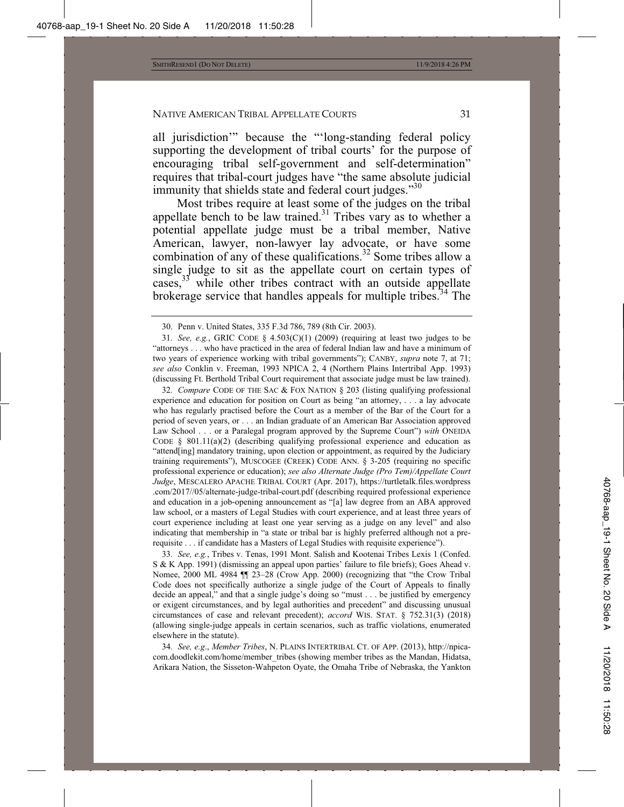all jurisdiction'" because the "'long-standing federal policy supporting the development of tribal courts' for the purpose of encouraging tribal self-government and self-determination" requires that tribal-court judges have "the same absolute judicial immunity that shields state and federal court judges."<sup>30</sup>

Most tribes require at least some of the judges on the tribal appellate bench to be law trained.<sup>31</sup> Tribes vary as to whether a potential appellate judge must be a tribal member, Native American, lawyer, non-lawyer lay advocate, or have some combination of any of these qualifications.<sup>32</sup> Some tribes allow a single judge to sit as the appellate court on certain types of cases,  $33$  while other tribes contract with an outside appellate brokerage service that handles appeals for multiple tribes.<sup>34</sup> The

32*. Compare* CODE OF THE SAC & FOX NATION § 203 (listing qualifying professional experience and education for position on Court as being "an attorney, . . . a lay advocate who has regularly practised before the Court as a member of the Bar of the Court for a period of seven years, or . . . an Indian graduate of an American Bar Association approved Law School . . . or a Paralegal program approved by the Supreme Court") *with* ONEIDA CODE  $\S$  801.11(a)(2) (describing qualifying professional experience and education as "attend[ing] mandatory training, upon election or appointment, as required by the Judiciary training requirements"), MUSCOGEE (CREEK) CODE ANN. § 3-205 (requiring no specific professional experience or education); *see also Alternate Judge (Pro Tem)/Appellate Court Judge*, MESCALERO APACHE TRIBAL COURT (Apr. 2017), https://turtletalk.files.wordpress .com/2017//05/alternate-judge-tribal-court.pdf (describing required professional experience and education in a job-opening announcement as "[a] law degree from an ABA approved law school, or a masters of Legal Studies with court experience, and at least three years of court experience including at least one year serving as a judge on any level" and also indicating that membership in "a state or tribal bar is highly preferred although not a prerequisite . . . if candidate has a Masters of Legal Studies with requisite experience").

33*. See, e.g.*, Tribes v. Tenas, 1991 Mont. Salish and Kootenai Tribes Lexis 1 (Confed. S & K App. 1991) (dismissing an appeal upon parties' failure to file briefs); Goes Ahead v. Nomee, 2000 ML 4984 ¶¶ 23–28 (Crow App. 2000) (recognizing that "the Crow Tribal Code does not specifically authorize a single judge of the Court of Appeals to finally decide an appeal," and that a single judge's doing so "must . . . be justified by emergency or exigent circumstances, and by legal authorities and precedent" and discussing unusual circumstances of case and relevant precedent); *accord* WIS. STAT. § 752.31(3) (2018) (allowing single-judge appeals in certain scenarios, such as traffic violations, enumerated elsewhere in the statute).

34*. See, e.g*., *Member Tribes*, N. PLAINS INTERTRIBAL CT. OF APP. (2013), http://npicacom.doodlekit.com/home/member\_tribes (showing member tribes as the Mandan, Hidatsa, Arikara Nation, the Sisseton-Wahpeton Oyate, the Omaha Tribe of Nebraska, the Yankton

<sup>30.</sup> Penn v. United States, 335 F.3d 786, 789 (8th Cir. 2003).

<sup>31.</sup> See, e.g., GRIC CODE  $\S$  4.503(C)(1) (2009) (requiring at least two judges to be "attorneys . . . who have practiced in the area of federal Indian law and have a minimum of two years of experience working with tribal governments"); CANBY, *supra* note 7, at 71; *see also* Conklin v. Freeman, 1993 NPICA 2, 4 (Northern Plains Intertribal App. 1993) (discussing Ft. Berthold Tribal Court requirement that associate judge must be law trained).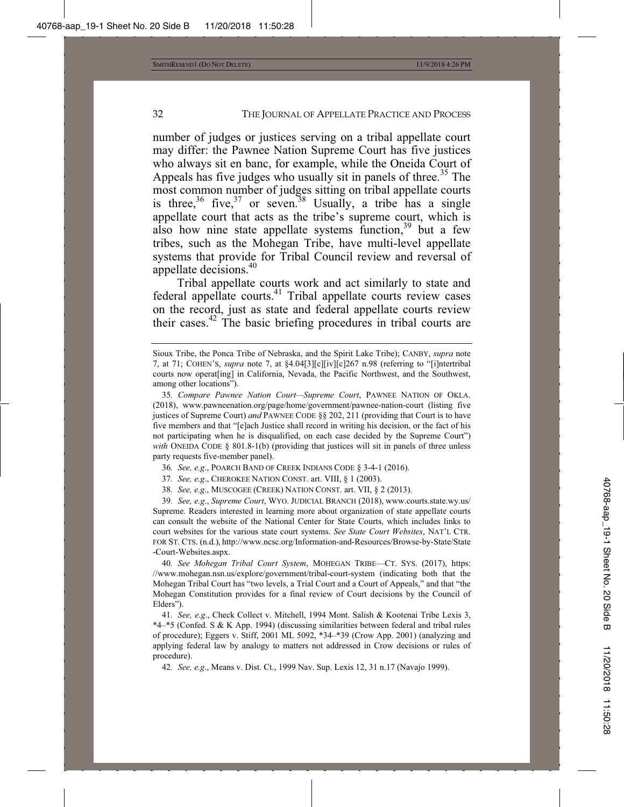number of judges or justices serving on a tribal appellate court may differ: the Pawnee Nation Supreme Court has five justices who always sit en banc, for example, while the Oneida Court of Appeals has five judges who usually sit in panels of three.<sup>35</sup> The most common number of judges sitting on tribal appellate courts is three,<sup>36</sup> five,<sup>37</sup> or seven.<sup>38</sup> Usually, a tribe has a single appellate court that acts as the tribe's supreme court, which is also how nine state appellate systems function,  $39$  but a few tribes, such as the Mohegan Tribe, have multi-level appellate systems that provide for Tribal Council review and reversal of appellate decisions.40

Tribal appellate courts work and act similarly to state and federal appellate courts.<sup>41</sup> Tribal appellate courts review cases on the record, just as state and federal appellate courts review their cases.42 The basic briefing procedures in tribal courts are

- 36*. See, e.g*., POARCH BAND OF CREEK INDIANS CODE § 3-4-1 (2016).
- 37*. See, e.g*., CHEROKEE NATION CONST. art. VIII, § 1 (2003).
- 38*. See, e.g*., MUSCOGEE (CREEK) NATION CONST. art. VII, § 2 (2013).

39*. See, e.g*., *Supreme Court*, WYO. JUDICIAL BRANCH (2018), www.courts.state.wy.us/ Supreme. Readers interested in learning more about organization of state appellate courts can consult the website of the National Center for State Courts, which includes links to court websites for the various state court systems. *See State Court Websites*, NAT'L CTR. FOR ST. CTS. (n.d.), http://www.ncsc.org/Information-and-Resources/Browse-by-State/State -Court-Websites.aspx.

40*. See Mohegan Tribal Court System*, MOHEGAN TRIBE—CT. SYS. (2017), https: //www.mohegan.nsn.us/explore/government/tribal-court-system (indicating both that the Mohegan Tribal Court has "two levels, a Trial Court and a Court of Appeals," and that "the Mohegan Constitution provides for a final review of Court decisions by the Council of Elders").

41*. See, e.g*., Check Collect v. Mitchell, 1994 Mont. Salish & Kootenai Tribe Lexis 3, \*4–\*5 (Confed. S & K App. 1994) (discussing similarities between federal and tribal rules of procedure); Eggers v. Stiff, 2001 ML 5092, \*34–\*39 (Crow App. 2001) (analyzing and applying federal law by analogy to matters not addressed in Crow decisions or rules of procedure).

42*. See, e.g*., Means v. Dist. Ct., 1999 Nav. Sup. Lexis 12, 31 n.17 (Navajo 1999).

Sioux Tribe, the Ponca Tribe of Nebraska, and the Spirit Lake Tribe); CANBY, *supra* note 7, at 71; COHEN'S, *supra* note 7, at  $\S4.04[3][c][i][c][267 \text{ n}.98$  (referring to "[i]ntertribal courts now operat[ing] in California, Nevada, the Pacific Northwest, and the Southwest, among other locations").

<sup>35</sup>*. Compare Pawnee Nation Court—Supreme Court*, PAWNEE NATION OF OKLA. (2018), www.pawneenation.org/page/home/government/pawnee-nation-court (listing five justices of Supreme Court) *and* PAWNEE CODE §§ 202, 211 (providing that Court is to have five members and that "[e]ach Justice shall record in writing his decision, or the fact of his not participating when he is disqualified, on each case decided by the Supreme Court") *with* ONEIDA CODE § 801.8-1(b) (providing that justices will sit in panels of three unless party requests five-member panel).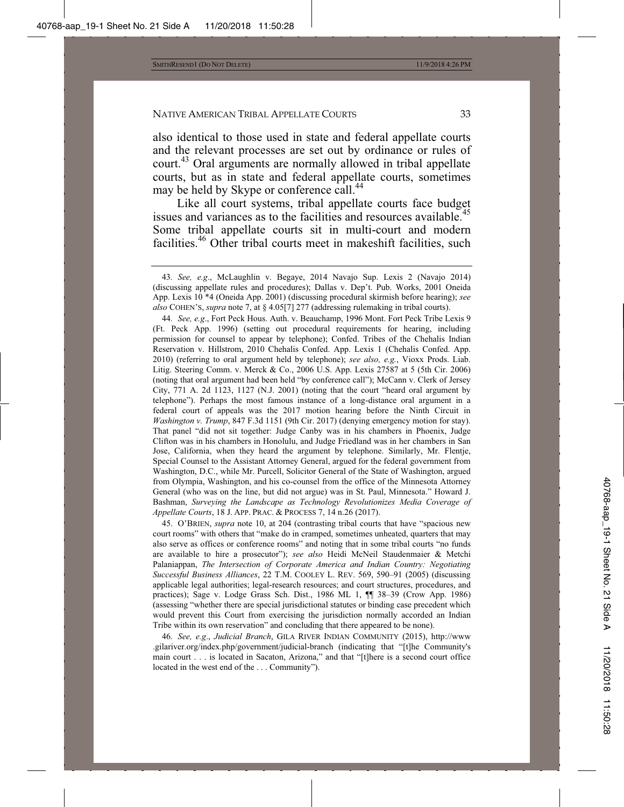also identical to those used in state and federal appellate courts and the relevant processes are set out by ordinance or rules of court.<sup>43</sup> Oral arguments are normally allowed in tribal appellate courts, but as in state and federal appellate courts, sometimes may be held by Skype or conference call.<sup>44</sup>

Like all court systems, tribal appellate courts face budget issues and variances as to the facilities and resources available.<sup>45</sup> Some tribal appellate courts sit in multi-court and modern facilities.<sup>46</sup> Other tribal courts meet in makeshift facilities, such

44*. See, e.g*., Fort Peck Hous. Auth. v. Beauchamp, 1996 Mont. Fort Peck Tribe Lexis 9 (Ft. Peck App. 1996) (setting out procedural requirements for hearing, including permission for counsel to appear by telephone); Confed. Tribes of the Chehalis Indian Reservation v. Hillstrom, 2010 Chehalis Confed. App. Lexis 1 (Chehalis Confed. App. 2010) (referring to oral argument held by telephone); *see also, e.g.*, Vioxx Prods. Liab. Litig. Steering Comm. v. Merck & Co., 2006 U.S. App. Lexis 27587 at 5 (5th Cir. 2006) (noting that oral argument had been held "by conference call"); McCann v. Clerk of Jersey City, 771 A. 2d 1123, 1127 (N.J. 2001) (noting that the court "heard oral argument by telephone"). Perhaps the most famous instance of a long-distance oral argument in a federal court of appeals was the 2017 motion hearing before the Ninth Circuit in *Washington v. Trump*, 847 F.3d 1151 (9th Cir. 2017) (denying emergency motion for stay). That panel "did not sit together: Judge Canby was in his chambers in Phoenix, Judge Clifton was in his chambers in Honolulu, and Judge Friedland was in her chambers in San Jose, California, when they heard the argument by telephone. Similarly, Mr. Flentje, Special Counsel to the Assistant Attorney General, argued for the federal government from Washington, D.C., while Mr. Purcell, Solicitor General of the State of Washington, argued from Olympia, Washington, and his co-counsel from the office of the Minnesota Attorney General (who was on the line, but did not argue) was in St. Paul, Minnesota." Howard J. Bashman, *Surveying the Landscape as Technology Revolutionizes Media Coverage of Appellate Courts*, 18 J. APP. PRAC.&PROCESS 7, 14 n.26 (2017).

45. O'BRIEN, *supra* note 10, at 204 (contrasting tribal courts that have "spacious new court rooms" with others that "make do in cramped, sometimes unheated, quarters that may also serve as offices or conference rooms" and noting that in some tribal courts "no funds are available to hire a prosecutor"); *see also* Heidi McNeil Staudenmaier & Metchi Palaniappan, *The Intersection of Corporate America and Indian Country: Negotiating Successful Business Alliances*, 22 T.M. COOLEY L. REV. 569, 590–91 (2005) (discussing applicable legal authorities; legal-research resources; and court structures, procedures, and practices); Sage v. Lodge Grass Sch. Dist., 1986 ML 1, ¶¶ 38–39 (Crow App. 1986) (assessing "whether there are special jurisdictional statutes or binding case precedent which would prevent this Court from exercising the jurisdiction normally accorded an Indian Tribe within its own reservation" and concluding that there appeared to be none).

46*. See, e.g*., *Judicial Branch*, GILA RIVER INDIAN COMMUNITY (2015), http://www .gilariver.org/index.php/government/judicial-branch (indicating that "[t]he Community's main court . . . is located in Sacaton, Arizona," and that "[t]here is a second court office located in the west end of the . . . Community").

<sup>43</sup>*. See, e.g*., McLaughlin v. Begaye, 2014 Navajo Sup. Lexis 2 (Navajo 2014) (discussing appellate rules and procedures); Dallas v. Dep't. Pub. Works, 2001 Oneida App. Lexis 10 \*4 (Oneida App. 2001) (discussing procedural skirmish before hearing); *see also* COHEN'S, *supra* note 7, at § 4.05[7] 277 (addressing rulemaking in tribal courts).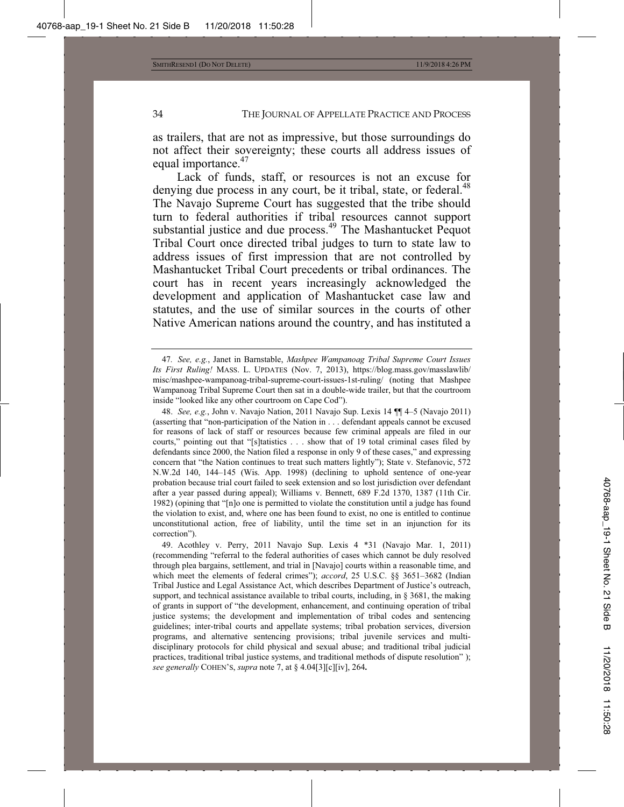as trailers, that are not as impressive, but those surroundings do not affect their sovereignty; these courts all address issues of equal importance.<sup>47</sup>

Lack of funds, staff, or resources is not an excuse for denying due process in any court, be it tribal, state, or federal.<sup>48</sup> The Navajo Supreme Court has suggested that the tribe should turn to federal authorities if tribal resources cannot support substantial justice and due process.<sup>49</sup> The Mashantucket Pequot Tribal Court once directed tribal judges to turn to state law to address issues of first impression that are not controlled by Mashantucket Tribal Court precedents or tribal ordinances. The court has in recent years increasingly acknowledged the development and application of Mashantucket case law and statutes, and the use of similar sources in the courts of other Native American nations around the country, and has instituted a

<sup>47</sup>*. See, e.g.*, Janet in Barnstable, *Mashpee Wampanoag Tribal Supreme Court Issues Its First Ruling!* MASS. L. UPDATES (Nov. 7, 2013), https://blog.mass.gov/masslawlib/ misc/mashpee-wampanoag-tribal-supreme-court-issues-1st-ruling/ (noting that Mashpee Wampanoag Tribal Supreme Court then sat in a double-wide trailer, but that the courtroom inside "looked like any other courtroom on Cape Cod").

<sup>48.</sup> *See, e.g.*, John v. Navajo Nation, 2011 Navajo Sup. Lexis 14 ¶¶ 4–5 (Navajo 2011) (asserting that "non-participation of the Nation in . . . defendant appeals cannot be excused for reasons of lack of staff or resources because few criminal appeals are filed in our courts," pointing out that "[s]tatistics . . . show that of 19 total criminal cases filed by defendants since 2000, the Nation filed a response in only 9 of these cases," and expressing concern that "the Nation continues to treat such matters lightly"); State v. Stefanovic, 572 N.W.2d 140, 144–145 (Wis. App. 1998) (declining to uphold sentence of one-year probation because trial court failed to seek extension and so lost jurisdiction over defendant after a year passed during appeal); Williams v. Bennett, 689 F.2d 1370, 1387 (11th Cir. 1982) (opining that "[n]o one is permitted to violate the constitution until a judge has found the violation to exist, and, where one has been found to exist, no one is entitled to continue unconstitutional action, free of liability, until the time set in an injunction for its correction").

<sup>49.</sup> Acothley v. Perry, 2011 Navajo Sup. Lexis 4 \*31 (Navajo Mar. 1, 2011) (recommending "referral to the federal authorities of cases which cannot be duly resolved through plea bargains, settlement, and trial in [Navajo] courts within a reasonable time, and which meet the elements of federal crimes"); *accord*, 25 U.S.C. §§ 3651–3682 (Indian Tribal Justice and Legal Assistance Act, which describes Department of Justice's outreach, support, and technical assistance available to tribal courts, including, in § 3681, the making of grants in support of "the development, enhancement, and continuing operation of tribal justice systems; the development and implementation of tribal codes and sentencing guidelines; inter-tribal courts and appellate systems; tribal probation services, diversion programs, and alternative sentencing provisions; tribal juvenile services and multidisciplinary protocols for child physical and sexual abuse; and traditional tribal judicial practices, traditional tribal justice systems, and traditional methods of dispute resolution" ); *see generally* COHEN'S, *supra* note 7, at § 4.04[3][c][iv], 264**.**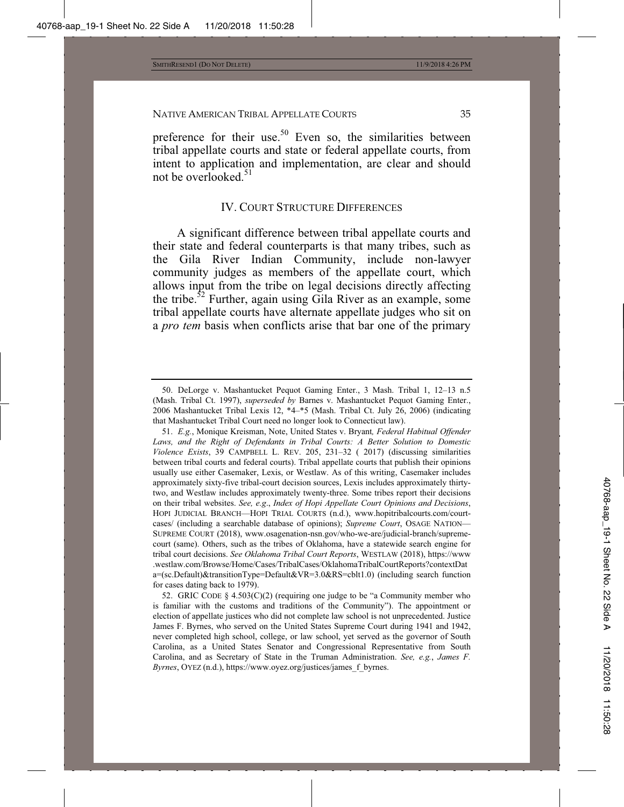preference for their use.<sup>50</sup> Even so, the similarities between tribal appellate courts and state or federal appellate courts, from intent to application and implementation, are clear and should not be overlooked.<sup>51</sup>

#### IV. COURT STRUCTURE DIFFERENCES

A significant difference between tribal appellate courts and their state and federal counterparts is that many tribes, such as the Gila River Indian Community, include non-lawyer community judges as members of the appellate court, which allows input from the tribe on legal decisions directly affecting the tribe.<sup>52</sup> Further, again using Gila River as an example, some tribal appellate courts have alternate appellate judges who sit on a *pro tem* basis when conflicts arise that bar one of the primary

<sup>50.</sup> DeLorge v. Mashantucket Pequot Gaming Enter., 3 Mash. Tribal 1, 12–13 n.5 (Mash. Tribal Ct. 1997), *superseded by* Barnes v. Mashantucket Pequot Gaming Enter., 2006 Mashantucket Tribal Lexis 12, \*4–\*5 (Mash. Tribal Ct. July 26, 2006) (indicating that Mashantucket Tribal Court need no longer look to Connecticut law).

<sup>51.</sup> *E.g.*, Monique Kreisman, Note, United States v. Bryant*, Federal Habitual Offender*  Laws, and the Right of Defendants in Tribal Courts: A Better Solution to Domestic *Violence Exists*, 39 CAMPBELL L. REV. 205, 231–32 ( 2017) (discussing similarities between tribal courts and federal courts). Tribal appellate courts that publish their opinions usually use either Casemaker, Lexis, or Westlaw. As of this writing, Casemaker includes approximately sixty-five tribal-court decision sources, Lexis includes approximately thirtytwo, and Westlaw includes approximately twenty-three. Some tribes report their decisions on their tribal websites. *See, e.g*., *Index of Hopi Appellate Court Opinions and Decisions*, HOPI JUDICIAL BRANCH—HOPI TRIAL COURTS (n.d.), www.hopitribalcourts.com/courtcases/ (including a searchable database of opinions); *Supreme Court*, OSAGE NATION— SUPREME COURT (2018), www.osagenation-nsn.gov/who-we-are/judicial-branch/supremecourt (same). Others, such as the tribes of Oklahoma, have a statewide search engine for tribal court decisions. *See Oklahoma Tribal Court Reports*, WESTLAW (2018), https://www .westlaw.com/Browse/Home/Cases/TribalCases/OklahomaTribalCourtReports?contextDat a=(sc.Default)&transitionType=Default&VR=3.0&RS=cblt1.0) (including search function for cases dating back to 1979).

<sup>52.</sup> GRIC CODE  $\S 4.503(C)(2)$  (requiring one judge to be "a Community member who is familiar with the customs and traditions of the Community"). The appointment or election of appellate justices who did not complete law school is not unprecedented. Justice James F. Byrnes, who served on the United States Supreme Court during 1941 and 1942, never completed high school, college, or law school, yet served as the governor of South Carolina, as a United States Senator and Congressional Representative from South Carolina, and as Secretary of State in the Truman Administration. *See, e.g.*, *James F. Byrnes*, OYEZ (n.d.), https://www.oyez.org/justices/james\_f\_byrnes.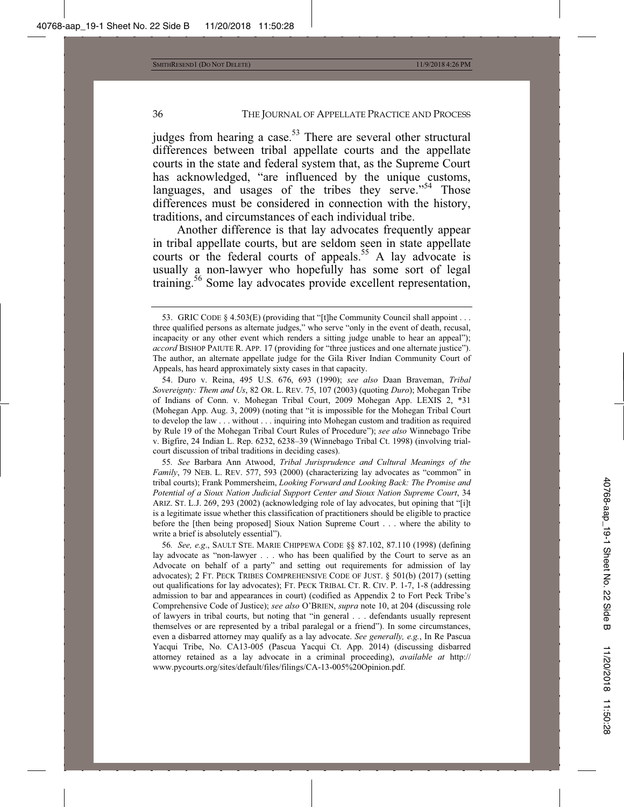judges from hearing a case.<sup>53</sup> There are several other structural differences between tribal appellate courts and the appellate courts in the state and federal system that, as the Supreme Court has acknowledged, "are influenced by the unique customs, languages, and usages of the tribes they serve."<sup>54</sup> Those differences must be considered in connection with the history, traditions, and circumstances of each individual tribe.

Another difference is that lay advocates frequently appear in tribal appellate courts, but are seldom seen in state appellate courts or the federal courts of appeals.<sup>55</sup> A lay advocate is usually a non-lawyer who hopefully has some sort of legal training.56 Some lay advocates provide excellent representation,

54. Duro v. Reina, 495 U.S. 676, 693 (1990); *see also* Daan Braveman, *Tribal Sovereignty: Them and Us*, 82 OR. L. REV. 75, 107 (2003) (quoting *Duro*); Mohegan Tribe of Indians of Conn. v. Mohegan Tribal Court, 2009 Mohegan App. LEXIS 2, \*31 (Mohegan App. Aug. 3, 2009) (noting that "it is impossible for the Mohegan Tribal Court to develop the law . . . without . . . inquiring into Mohegan custom and tradition as required by Rule 19 of the Mohegan Tribal Court Rules of Procedure"); *see also* Winnebago Tribe v. Bigfire, 24 Indian L. Rep. 6232, 6238–39 (Winnebago Tribal Ct. 1998) (involving trialcourt discussion of tribal traditions in deciding cases).

55*. See* Barbara Ann Atwood, *Tribal Jurisprudence and Cultural Meanings of the Family*, 79 NEB. L. REV. 577, 593 (2000) (characterizing lay advocates as "common" in tribal courts); Frank Pommersheim, *Looking Forward and Looking Back: The Promise and Potential of a Sioux Nation Judicial Support Center and Sioux Nation Supreme Court*, 34 ARIZ. ST. L.J. 269, 293 (2002) (acknowledging role of lay advocates, but opining that "[i]t is a legitimate issue whether this classification of practitioners should be eligible to practice before the [then being proposed] Sioux Nation Supreme Court . . . where the ability to write a brief is absolutely essential").

56*. See, e.g*., SAULT STE. MARIE CHIPPEWA CODE §§ 87.102, 87.110 (1998) (defining lay advocate as "non-lawyer . . . who has been qualified by the Court to serve as an Advocate on behalf of a party" and setting out requirements for admission of lay advocates); 2 FT. PECK TRIBES COMPREHENSIVE CODE OF JUST. § 501(b) (2017) (setting out qualifications for lay advocates); FT. PECK TRIBAL CT. R. CIV. P. 1-7, 1-8 (addressing admission to bar and appearances in court) (codified as Appendix 2 to Fort Peck Tribe's Comprehensive Code of Justice); *see also* O'BRIEN, *supra* note 10, at 204 (discussing role of lawyers in tribal courts, but noting that "in general . . . defendants usually represent themselves or are represented by a tribal paralegal or a friend"). In some circumstances, even a disbarred attorney may qualify as a lay advocate. *See generally, e.g.*, In Re Pascua Yacqui Tribe, No. CA13-005 (Pascua Yacqui Ct. App. 2014) (discussing disbarred attorney retained as a lay advocate in a criminal proceeding), *available at* http:// www.pycourts.org/sites/default/files/filings/CA-13-005%20Opinion.pdf.

<sup>53.</sup> GRIC CODE § 4.503(E) (providing that "[t]he Community Council shall appoint . . . three qualified persons as alternate judges," who serve "only in the event of death, recusal, incapacity or any other event which renders a sitting judge unable to hear an appeal"); *accord* BISHOP PAIUTE R. APP. 17 (providing for "three justices and one alternate justice"). The author, an alternate appellate judge for the Gila River Indian Community Court of Appeals, has heard approximately sixty cases in that capacity.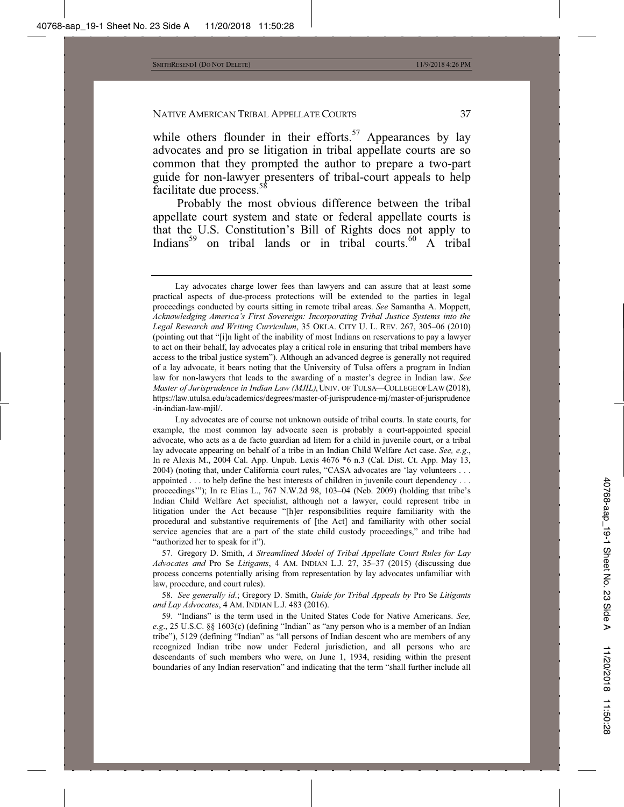while others flounder in their efforts.<sup>57</sup> Appearances by lay advocates and pro se litigation in tribal appellate courts are so common that they prompted the author to prepare a two-part guide for non-lawyer presenters of tribal-court appeals to help facilitate due process.<sup>5</sup>

Probably the most obvious difference between the tribal appellate court system and state or federal appellate courts is that the U.S. Constitution's Bill of Rights does not apply to Indians<sup>59</sup> on tribal lands or in tribal courts.<sup>60</sup> A tribal

57. Gregory D. Smith, *A Streamlined Model of Tribal Appellate Court Rules for Lay Advocates and* Pro Se *Litigants*, 4 AM. INDIAN L.J. 27, 35–37 (2015) (discussing due process concerns potentially arising from representation by lay advocates unfamiliar with law, procedure, and court rules).

58*. See generally id*.; Gregory D. Smith, *Guide for Tribal Appeals by* Pro Se *Litigants and Lay Advocates*, 4 AM. INDIAN L.J. 483 (2016).

59. "Indians" is the term used in the United States Code for Native Americans. *See, e.g*., 25 U.S.C. §§ 1603(c) (defining "Indian" as "any person who is a member of an Indian tribe"), 5129 (defining "Indian" as "all persons of Indian descent who are members of any recognized Indian tribe now under Federal jurisdiction, and all persons who are descendants of such members who were, on June 1, 1934, residing within the present boundaries of any Indian reservation" and indicating that the term "shall further include all

Lay advocates charge lower fees than lawyers and can assure that at least some practical aspects of due-process protections will be extended to the parties in legal proceedings conducted by courts sitting in remote tribal areas. *See* Samantha A. Moppett, *Acknowledging America's First Sovereign: Incorporating Tribal Justice Systems into the Legal Research and Writing Curriculum*, 35 OKLA. CITY U. L. REV. 267, 305–06 (2010) (pointing out that "[i]n light of the inability of most Indians on reservations to pay a lawyer to act on their behalf, lay advocates play a critical role in ensuring that tribal members have access to the tribal justice system"). Although an advanced degree is generally not required of a lay advocate, it bears noting that the University of Tulsa offers a program in Indian law for non-lawyers that leads to the awarding of a master's degree in Indian law. *See Master of Jurisprudence in Indian Law (MJIL)*, UNIV. OF TULSA—COLLEGE OF LAW (2018), https://law.utulsa.edu/academics/degrees/master-of-jurisprudence-mj/master-of-jurisprudence -in-indian-law-mjil/.

Lay advocates are of course not unknown outside of tribal courts. In state courts, for example, the most common lay advocate seen is probably a court-appointed special advocate, who acts as a de facto guardian ad litem for a child in juvenile court, or a tribal lay advocate appearing on behalf of a tribe in an Indian Child Welfare Act case. *See, e.g*., In re Alexis M., 2004 Cal. App. Unpub. Lexis 4676 \*6 n.3 (Cal. Dist. Ct. App. May 13, 2004) (noting that, under California court rules, "CASA advocates are 'lay volunteers . . . appointed . . . to help define the best interests of children in juvenile court dependency . . . proceedings'"); In re Elias L., 767 N.W.2d 98, 103–04 (Neb. 2009) (holding that tribe's Indian Child Welfare Act specialist, although not a lawyer, could represent tribe in litigation under the Act because "[h]er responsibilities require familiarity with the procedural and substantive requirements of [the Act] and familiarity with other social service agencies that are a part of the state child custody proceedings," and tribe had "authorized her to speak for it").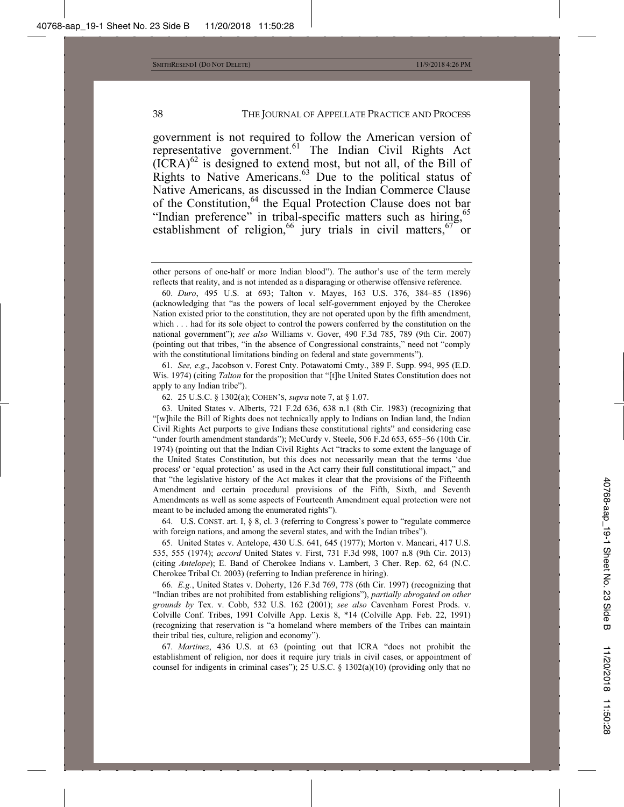government is not required to follow the American version of representative government.<sup>61</sup> The Indian Civil Rights Act  $(ICRA)^{62}$  is designed to extend most, but not all, of the Bill of Rights to Native Americans.<sup>63</sup> Due to the political status of Native Americans, as discussed in the Indian Commerce Clause of the Constitution,<sup>64</sup> the Equal Protection Clause does not bar "Indian preference" in tribal-specific matters such as hiring,<sup>65</sup> establishment of religion,<sup>66</sup> jury trials in civil matters,<sup>67</sup> or

61*. See, e.g*., Jacobson v. Forest Cnty. Potawatomi Cmty., 389 F. Supp. 994, 995 (E.D. Wis. 1974) (citing *Talton* for the proposition that "[t]he United States Constitution does not apply to any Indian tribe").

62. 25 U.S.C. § 1302(a); COHEN'S, *supra* note 7, at § 1.07.

63. United States v. Alberts, 721 F.2d 636, 638 n.1 (8th Cir. 1983) (recognizing that "[w]hile the Bill of Rights does not technically apply to Indians on Indian land, the Indian Civil Rights Act purports to give Indians these constitutional rights" and considering case "under fourth amendment standards"); McCurdy v. Steele, 506 F.2d 653, 655-56 (10th Cir. 1974) (pointing out that the Indian Civil Rights Act "tracks to some extent the language of the United States Constitution, but this does not necessarily mean that the terms 'due process' or 'equal protection' as used in the Act carry their full constitutional impact," and that "the legislative history of the Act makes it clear that the provisions of the Fifteenth Amendment and certain procedural provisions of the Fifth, Sixth, and Seventh Amendments as well as some aspects of Fourteenth Amendment equal protection were not meant to be included among the enumerated rights").

64. U.S. CONST. art. I, § 8, cl. 3 (referring to Congress's power to "regulate commerce with foreign nations, and among the several states, and with the Indian tribes").

65. United States v. Antelope, 430 U.S. 641, 645 (1977); Morton v. Mancari, 417 U.S. 535, 555 (1974); *accord* United States v. First, 731 F.3d 998, 1007 n.8 (9th Cir. 2013) (citing *Antelope*); E. Band of Cherokee Indians v. Lambert, 3 Cher. Rep. 62, 64 (N.C. Cherokee Tribal Ct. 2003) (referring to Indian preference in hiring).

66. *E.g.*, United States v. Doherty, 126 F.3d 769, 778 (6th Cir. 1997) (recognizing that "Indian tribes are not prohibited from establishing religions"), *partially abrogated on other grounds by* Tex. v. Cobb, 532 U.S. 162 (2001); *see also* Cavenham Forest Prods. v. Colville Conf. Tribes, 1991 Colville App. Lexis 8, \*14 (Colville App. Feb. 22, 1991) (recognizing that reservation is "a homeland where members of the Tribes can maintain their tribal ties, culture, religion and economy").

67. *Martinez*, 436 U.S. at 63 (pointing out that ICRA "does not prohibit the establishment of religion, nor does it require jury trials in civil cases, or appointment of counsel for indigents in criminal cases"); 25 U.S.C. § 1302(a)(10) (providing only that no

other persons of one-half or more Indian blood"). The author's use of the term merely reflects that reality, and is not intended as a disparaging or otherwise offensive reference.

<sup>60.</sup> *Duro*, 495 U.S. at 693; Talton v. Mayes, 163 U.S. 376, 384–85 (1896) (acknowledging that "as the powers of local self-government enjoyed by the Cherokee Nation existed prior to the constitution, they are not operated upon by the fifth amendment, which . . . had for its sole object to control the powers conferred by the constitution on the national government"); *see also* Williams v. Gover, 490 F.3d 785, 789 (9th Cir. 2007) (pointing out that tribes, "in the absence of Congressional constraints," need not "comply with the constitutional limitations binding on federal and state governments").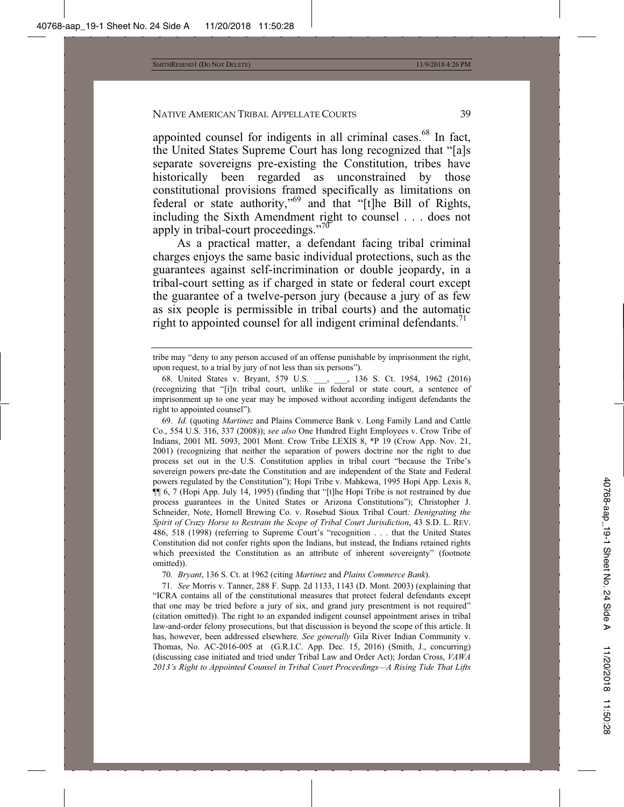appointed counsel for indigents in all criminal cases.<sup>68</sup> In fact, the United States Supreme Court has long recognized that "[a]s separate sovereigns pre-existing the Constitution, tribes have historically been regarded as unconstrained by those constitutional provisions framed specifically as limitations on federal or state authority,"69 and that "[t]he Bill of Rights, including the Sixth Amendment right to counsel . . . does not apply in tribal-court proceedings."<sup>70</sup>

As a practical matter, a defendant facing tribal criminal charges enjoys the same basic individual protections, such as the guarantees against self-incrimination or double jeopardy, in a tribal-court setting as if charged in state or federal court except the guarantee of a twelve-person jury (because a jury of as few as six people is permissible in tribal courts) and the automatic right to appointed counsel for all indigent criminal defendants.<sup>71</sup>

69. *Id.* (quoting *Martinez* and Plains Commerce Bank v. Long Family Land and Cattle Co., 554 U.S. 316, 337 (2008)); *see also* One Hundred Eight Employees v. Crow Tribe of Indians, 2001 ML 5093, 2001 Mont. Crow Tribe LEXIS 8, \*P 19 (Crow App. Nov. 21, 2001) (recognizing that neither the separation of powers doctrine nor the right to due process set out in the U.S. Constitution applies in tribal court "because the Tribe's sovereign powers pre-date the Constitution and are independent of the State and Federal powers regulated by the Constitution"); Hopi Tribe v. Mahkewa, 1995 Hopi App. Lexis 8, ¶¶ 6, 7 (Hopi App. July 14, 1995) (finding that "[t]he Hopi Tribe is not restrained by due process guarantees in the United States or Arizona Constitutions"); Christopher J. Schneider, Note, Hornell Brewing Co. v. Rosebud Sioux Tribal Court*: Denigrating the Spirit of Crazy Horse to Restrain the Scope of Tribal Court Jurisdiction*, 43 S.D. L. REV. 486, 518 (1998) (referring to Supreme Court's "recognition . . . that the United States Constitution did not confer rights upon the Indians, but instead, the Indians retained rights which preexisted the Constitution as an attribute of inherent sovereignty" (footnote omitted)).

70*. Bryant*, 136 S. Ct. at 1962 (citing *Martinez* and *Plains Commerce Bank*).

71*. See* Morris v. Tanner, 288 F. Supp. 2d 1133, 1143 (D. Mont. 2003) (explaining that "ICRA contains all of the constitutional measures that protect federal defendants except that one may be tried before a jury of six, and grand jury presentment is not required" (citation omitted)). The right to an expanded indigent counsel appointment arises in tribal law-and-order felony prosecutions, but that discussion is beyond the scope of this article. It has, however, been addressed elsewhere. *See generally* Gila River Indian Community v. Thomas, No. AC-2016-005 at (G.R.I.C. App. Dec. 15, 2016) (Smith, J., concurring) (discussing case initiated and tried under Tribal Law and Order Act); Jordan Cross, *VAWA 2013's Right to Appointed Counsel in Tribal Court Proceedings—A Rising Tide That Lifts* 

tribe may "deny to any person accused of an offense punishable by imprisonment the right, upon request, to a trial by jury of not less than six persons").

<sup>68.</sup> United States v. Bryant, 579 U.S. \_\_\_, \_\_\_, 136 S. Ct. 1954, 1962 (2016) (recognizing that "[i]n tribal court, unlike in federal or state court, a sentence of imprisonment up to one year may be imposed without according indigent defendants the right to appointed counsel").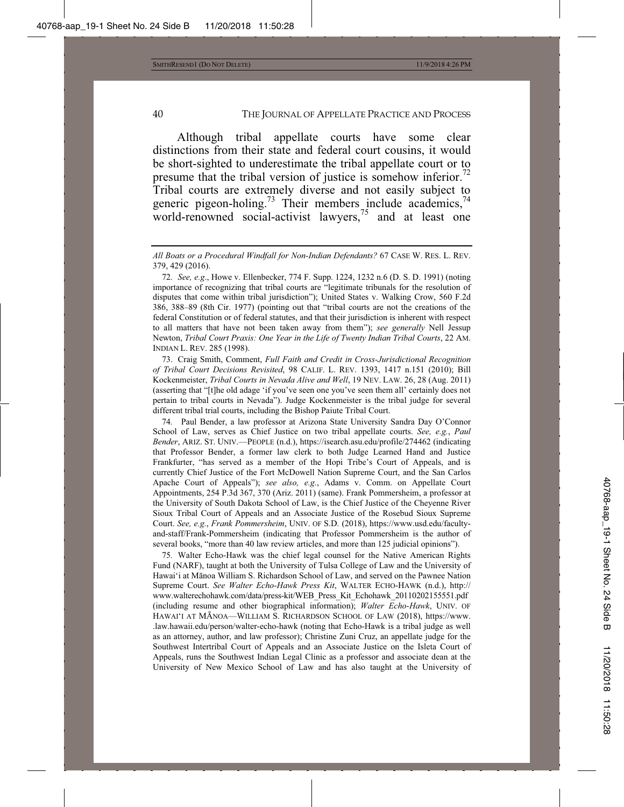Although tribal appellate courts have some clear distinctions from their state and federal court cousins, it would be short-sighted to underestimate the tribal appellate court or to presume that the tribal version of justice is somehow inferior.<sup>72</sup> Tribal courts are extremely diverse and not easily subject to generic pigeon-holing.<sup>73</sup> Their members include academics,<sup>74</sup> world-renowned social-activist lawyers,<sup>75</sup> and at least one

73. Craig Smith, Comment, *Full Faith and Credit in Cross-Jurisdictional Recognition of Tribal Court Decisions Revisited*, 98 CALIF. L. REV. 1393, 1417 n.151 (2010); Bill Kockenmeister, *Tribal Courts in Nevada Alive and Well*, 19 NEV. LAW. 26, 28 (Aug. 2011) (asserting that "[t]he old adage 'if you've seen one you've seen them all' certainly does not pertain to tribal courts in Nevada"). Judge Kockenmeister is the tribal judge for several different tribal trial courts, including the Bishop Paiute Tribal Court.

74*.* Paul Bender, a law professor at Arizona State University Sandra Day O'Connor School of Law, serves as Chief Justice on two tribal appellate courts. *See, e.g.*, *Paul Bender*, ARIZ. ST. UNIV.—PEOPLE (n.d.), https://isearch.asu.edu/profile/274462 (indicating that Professor Bender, a former law clerk to both Judge Learned Hand and Justice Frankfurter, "has served as a member of the Hopi Tribe's Court of Appeals, and is currently Chief Justice of the Fort McDowell Nation Supreme Court, and the San Carlos Apache Court of Appeals"); *see also, e.g.*, Adams v. Comm. on Appellate Court Appointments, 254 P.3d 367, 370 (Ariz. 2011) (same). Frank Pommersheim, a professor at the University of South Dakota School of Law, is the Chief Justice of the Cheyenne River Sioux Tribal Court of Appeals and an Associate Justice of the Rosebud Sioux Supreme Court. *See, e.g.*, *Frank Pommersheim*, UNIV. OF S.D. (2018), https://www.usd.edu/facultyand-staff/Frank-Pommersheim (indicating that Professor Pommersheim is the author of several books, "more than 40 law review articles, and more than 125 judicial opinions").

75*.* Walter Echo-Hawk was the chief legal counsel for the Native American Rights Fund (NARF), taught at both the University of Tulsa College of Law and the University of Hawai'i at MƗnoa William S. Richardson School of Law, and served on the Pawnee Nation Supreme Court. *See Walter Echo-Hawk Press Kit*, WALTER ECHO-HAWK (n.d.), http:// www.walterechohawk.com/data/press-kit/WEB\_Press\_Kit\_Echohawk\_20110202155551.pdf (including resume and other biographical information); *Walter Echo-Hawk*, UNIV. OF HAWAI'I AT MĀNOA—WILLIAM S. RICHARDSON SCHOOL OF LAW (2018), https://www. .law.hawaii.edu/person/walter-echo-hawk (noting that Echo-Hawk is a tribal judge as well as an attorney, author, and law professor); Christine Zuni Cruz, an appellate judge for the Southwest Intertribal Court of Appeals and an Associate Justice on the Isleta Court of Appeals, runs the Southwest Indian Legal Clinic as a professor and associate dean at the University of New Mexico School of Law and has also taught at the University of

*All Boats or a Procedural Windfall for Non-Indian Defendants?* 67 CASE W. RES. L. REV. 379, 429 (2016).

<sup>72</sup>*. See, e.g*., Howe v. Ellenbecker, 774 F. Supp. 1224, 1232 n.6 (D. S. D. 1991) (noting importance of recognizing that tribal courts are "legitimate tribunals for the resolution of disputes that come within tribal jurisdiction"); United States v. Walking Crow, 560 F.2d 386, 388–89 (8th Cir. 1977) (pointing out that "tribal courts are not the creations of the federal Constitution or of federal statutes, and that their jurisdiction is inherent with respect to all matters that have not been taken away from them"); *see generally* Nell Jessup Newton, *Tribal Court Praxis: One Year in the Life of Twenty Indian Tribal Courts*, 22 AM. INDIAN L. REV. 285 (1998).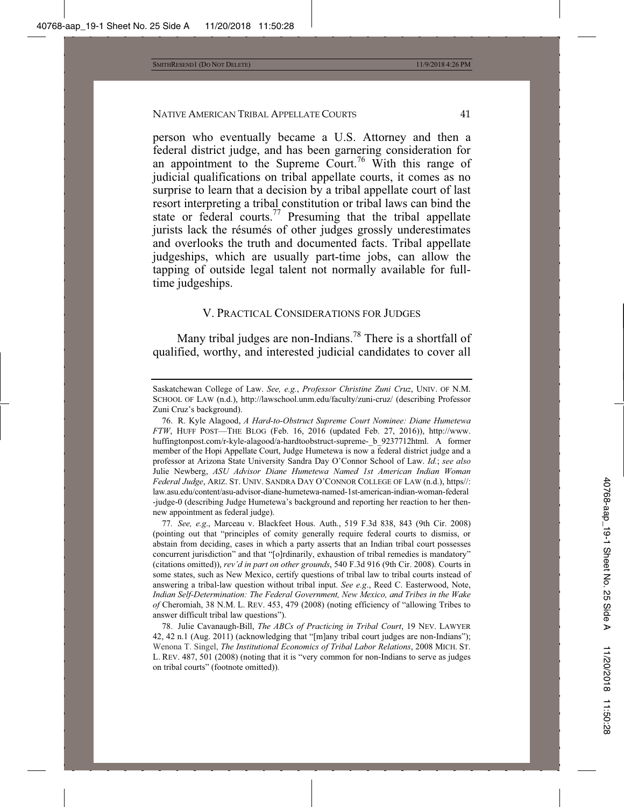person who eventually became a U.S. Attorney and then a federal district judge, and has been garnering consideration for an appointment to the Supreme Court.<sup>76</sup> With this range of judicial qualifications on tribal appellate courts, it comes as no surprise to learn that a decision by a tribal appellate court of last resort interpreting a tribal constitution or tribal laws can bind the state or federal courts. $77$  Presuming that the tribal appellate jurists lack the résumés of other judges grossly underestimates and overlooks the truth and documented facts. Tribal appellate judgeships, which are usually part-time jobs, can allow the tapping of outside legal talent not normally available for fulltime judgeships.

## V. PRACTICAL CONSIDERATIONS FOR JUDGES

Many tribal judges are non-Indians.<sup>78</sup> There is a shortfall of qualified, worthy, and interested judicial candidates to cover all

77*. See, e.g*., Marceau v. Blackfeet Hous. Auth., 519 F.3d 838, 843 (9th Cir. 2008) (pointing out that "principles of comity generally require federal courts to dismiss, or abstain from deciding, cases in which a party asserts that an Indian tribal court possesses concurrent jurisdiction" and that "[o]rdinarily, exhaustion of tribal remedies is mandatory" (citations omitted)), *rev'd in part on other grounds*, 540 F.3d 916 (9th Cir. 2008)*.* Courts in some states, such as New Mexico, certify questions of tribal law to tribal courts instead of answering a tribal-law question without tribal input. *See e.g*., Reed C. Easterwood, Note, *Indian Self-Determination: The Federal Government, New Mexico, and Tribes in the Wake of* Cheromiah, 38 N.M. L. REV. 453, 479 (2008) (noting efficiency of "allowing Tribes to answer difficult tribal law questions").

78. Julie Cavanaugh-Bill, *The ABCs of Practicing in Tribal Court*, 19 NEV. LAWYER 42, 42 n.1 (Aug. 2011) (acknowledging that "[m]any tribal court judges are non-Indians"); Wenona T. Singel, *The Institutional Economics of Tribal Labor Relations*, 2008 MICH. ST. L. REV. 487, 501 (2008) (noting that it is "very common for non-Indians to serve as judges on tribal courts" (footnote omitted)).

Saskatchewan College of Law. *See, e.g.*, *Professor Christine Zuni Cruz*, UNIV. OF N.M. SCHOOL OF LAW (n.d.), http://lawschool.unm.edu/faculty/zuni-cruz/ (describing Professor Zuni Cruz's background).

<sup>76.</sup> R. Kyle Alagood, *A Hard-to-Obstruct Supreme Court Nominee: Diane Humetewa FTW*, HUFF POST—THE BLOG (Feb. 16, 2016 (updated Feb. 27, 2016)), http://www. huffingtonpost.com/r-kyle-alagood/a-hardtoobstruct-supreme- b 9237712html. A former member of the Hopi Appellate Court, Judge Humetewa is now a federal district judge and a professor at Arizona State University Sandra Day O'Connor School of Law. *Id.*; *see also* Julie Newberg, *ASU Advisor Diane Humetewa Named 1st American Indian Woman Federal Judge*, ARIZ. ST. UNIV. SANDRA DAY O'CONNOR COLLEGE OF LAW (n.d.), https//: law.asu.edu/content/asu-advisor-diane-humetewa-named-1st-american-indian-woman-federal -judge-0 (describing Judge Humetewa's background and reporting her reaction to her thennew appointment as federal judge).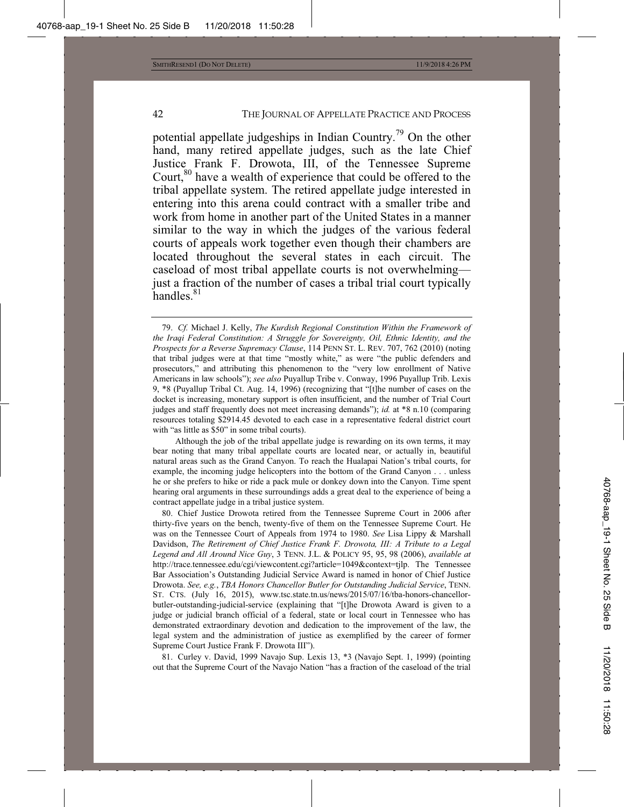potential appellate judgeships in Indian Country.79 On the other hand, many retired appellate judges, such as the late Chief Justice Frank F. Drowota, III, of the Tennessee Supreme Court,<sup>80</sup> have a wealth of experience that could be offered to the tribal appellate system. The retired appellate judge interested in entering into this arena could contract with a smaller tribe and work from home in another part of the United States in a manner similar to the way in which the judges of the various federal courts of appeals work together even though their chambers are located throughout the several states in each circuit. The caseload of most tribal appellate courts is not overwhelming just a fraction of the number of cases a tribal trial court typically handles.<sup>81</sup>

81. Curley v. David, 1999 Navajo Sup. Lexis 13, \*3 (Navajo Sept. 1, 1999) (pointing out that the Supreme Court of the Navajo Nation "has a fraction of the caseload of the trial

<sup>79.</sup> *Cf.* Michael J. Kelly, *The Kurdish Regional Constitution Within the Framework of the Iraqi Federal Constitution: A Struggle for Sovereignty, Oil, Ethnic Identity, and the Prospects for a Reverse Supremacy Clause*, 114 PENN ST. L. REV. 707, 762 (2010) (noting that tribal judges were at that time "mostly white," as were "the public defenders and prosecutors," and attributing this phenomenon to the "very low enrollment of Native Americans in law schools"); *see also* Puyallup Tribe v. Conway, 1996 Puyallup Trib. Lexis 9, \*8 (Puyallup Tribal Ct. Aug. 14, 1996) (recognizing that "[t]he number of cases on the docket is increasing, monetary support is often insufficient, and the number of Trial Court judges and staff frequently does not meet increasing demands"); *id.* at \*8 n.10 (comparing resources totaling \$2914.45 devoted to each case in a representative federal district court with "as little as \$50" in some tribal courts).

Although the job of the tribal appellate judge is rewarding on its own terms, it may bear noting that many tribal appellate courts are located near, or actually in, beautiful natural areas such as the Grand Canyon. To reach the Hualapai Nation's tribal courts, for example, the incoming judge helicopters into the bottom of the Grand Canyon . . . unless he or she prefers to hike or ride a pack mule or donkey down into the Canyon. Time spent hearing oral arguments in these surroundings adds a great deal to the experience of being a contract appellate judge in a tribal justice system.

<sup>80.</sup> Chief Justice Drowota retired from the Tennessee Supreme Court in 2006 after thirty-five years on the bench, twenty-five of them on the Tennessee Supreme Court. He was on the Tennessee Court of Appeals from 1974 to 1980. *See* Lisa Lippy & Marshall Davidson, *The Retirement of Chief Justice Frank F. Drowota, III: A Tribute to a Legal Legend and All Around Nice Guy*, 3 TENN. J.L. & POLICY 95, 95, 98 (2006), *available at* http://trace.tennessee.edu/cgi/viewcontent.cgi?article=1049&context=tjlp. The Tennessee Bar Association's Outstanding Judicial Service Award is named in honor of Chief Justice Drowota. *See, e.g.*, *TBA Honors Chancellor Butler for Outstanding Judicial Service*, TENN. ST. CTS. (July 16, 2015), www.tsc.state.tn.us/news/2015/07/16/tba-honors-chancellorbutler-outstanding-judicial-service (explaining that "[t]he Drowota Award is given to a judge or judicial branch official of a federal, state or local court in Tennessee who has demonstrated extraordinary devotion and dedication to the improvement of the law, the legal system and the administration of justice as exemplified by the career of former Supreme Court Justice Frank F. Drowota III").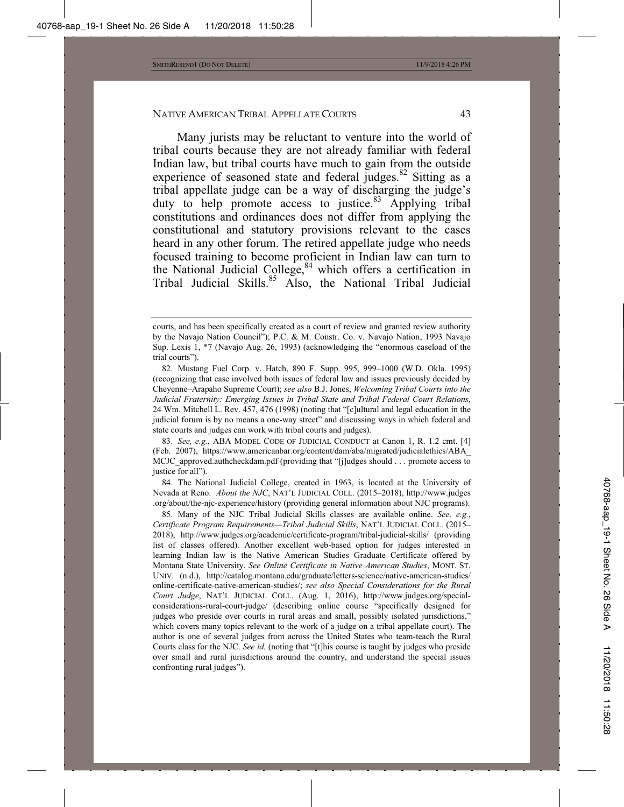Many jurists may be reluctant to venture into the world of tribal courts because they are not already familiar with federal Indian law, but tribal courts have much to gain from the outside experience of seasoned state and federal judges.<sup>82</sup> Sitting as a tribal appellate judge can be a way of discharging the judge's duty to help promote access to justice. $83$  Applying tribal constitutions and ordinances does not differ from applying the constitutional and statutory provisions relevant to the cases heard in any other forum. The retired appellate judge who needs focused training to become proficient in Indian law can turn to the National Judicial College, $84$  which offers a certification in Tribal Judicial Skills.<sup>85</sup> Also, the National Tribal Judicial

84. The National Judicial College, created in 1963, is located at the University of Nevada at Reno. *About the NJC*, NAT'L JUDICIAL COLL. (2015–2018), http://www.judges .org/about/the-njc-experience/history (providing general information about NJC programs).

85. Many of the NJC Tribal Judicial Skills classes are available online. *See, e.g.*, *Certificate Program Requirements—Tribal Judicial Skills*, NAT'L JUDICIAL COLL. (2015– 2018), http://www.judges.org/academic/certificate-program/tribal-judicial-skills/ (providing list of classes offered). Another excellent web-based option for judges interested in learning Indian law is the Native American Studies Graduate Certificate offered by Montana State University. *See Online Certificate in Native American Studies*, MONT. ST. UNIV. (n.d.), http://catalog.montana.edu/graduate/letters-science/native-american-studies/ online-certificate-native-american-studies/; *see also Special Considerations for the Rural Court Judge*, NAT'L JUDICIAL COLL. (Aug. 1, 2016), http://www.judges.org/specialconsiderations-rural-court-judge/ (describing online course "specifically designed for judges who preside over courts in rural areas and small, possibly isolated jurisdictions," which covers many topics relevant to the work of a judge on a tribal appellate court). The author is one of several judges from across the United States who team-teach the Rural Courts class for the NJC. *See id.* (noting that "[t]his course is taught by judges who preside over small and rural jurisdictions around the country, and understand the special issues confronting rural judges").

courts, and has been specifically created as a court of review and granted review authority by the Navajo Nation Council"); P.C. & M. Constr. Co. v. Navajo Nation, 1993 Navajo Sup. Lexis 1, \*7 (Navajo Aug. 26, 1993) (acknowledging the "enormous caseload of the trial courts").

<sup>82.</sup> Mustang Fuel Corp. v. Hatch, 890 F. Supp. 995, 999–1000 (W.D. Okla. 1995) (recognizing that case involved both issues of federal law and issues previously decided by Cheyenne–Arapaho Supreme Court); *see also* B.J. Jones, *Welcoming Tribal Courts into the Judicial Fraternity: Emerging Issues in Tribal-State and Tribal-Federal Court Relations*, 24 Wm. Mitchell L. Rev. 457, 476 (1998) (noting that "[c]ultural and legal education in the judicial forum is by no means a one-way street" and discussing ways in which federal and state courts and judges can work with tribal courts and judges).

<sup>83.</sup> *See, e.g.*, ABA MODEL CODE OF JUDICIAL CONDUCT at Canon 1, R. 1.2 cmt. [4] (Feb. 2007), https://www.americanbar.org/content/dam/aba/migrated/judicialethics/ABA\_ MCJC approved.authcheckdam.pdf (providing that "[j]udges should . . . promote access to justice for all").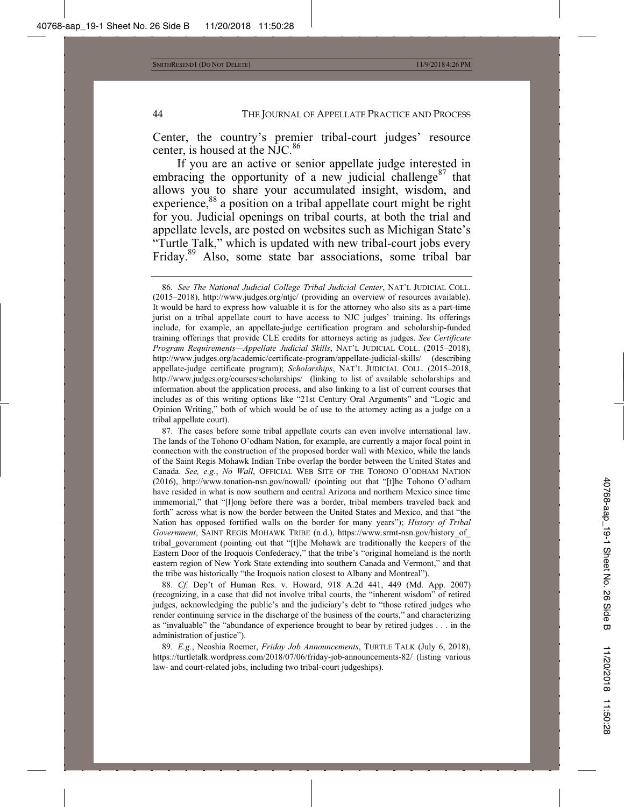Center, the country's premier tribal-court judges' resource center, is housed at the NJC.<sup>86</sup>

If you are an active or senior appellate judge interested in embracing the opportunity of a new judicial challenge<sup>87</sup> that allows you to share your accumulated insight, wisdom, and experience,<sup>88</sup> a position on a tribal appellate court might be right for you. Judicial openings on tribal courts, at both the trial and appellate levels, are posted on websites such as Michigan State's "Turtle Talk," which is updated with new tribal-court jobs every Friday.89 Also, some state bar associations, some tribal bar

88. *Cf.* Dep't of Human Res. v. Howard, 918 A.2d 441, 449 (Md. App. 2007) (recognizing, in a case that did not involve tribal courts, the "inherent wisdom" of retired judges, acknowledging the public's and the judiciary's debt to "those retired judges who render continuing service in the discharge of the business of the courts," and characterizing as "invaluable" the "abundance of experience brought to bear by retired judges . . . in the administration of justice").

89*. E.g.*, Neoshia Roemer, *Friday Job Announcements*, TURTLE TALK (July 6, 2018), https://turtletalk.wordpress.com/2018/07/06/friday-job-announcements-82/ (listing various law- and court-related jobs, including two tribal-court judgeships).

<sup>86</sup>*. See The National Judicial College Tribal Judicial Center*, NAT'L JUDICIAL COLL. (2015–2018), http://www.judges.org/ntjc/ (providing an overview of resources available). It would be hard to express how valuable it is for the attorney who also sits as a part-time jurist on a tribal appellate court to have access to NJC judges' training. Its offerings include, for example, an appellate-judge certification program and scholarship-funded training offerings that provide CLE credits for attorneys acting as judges. *See Certificate Program Requirements—Appellate Judicial Skills*, NAT'L JUDICIAL COLL. (2015–2018), http://www.judges.org/academic/certificate-program/appellate-judicial-skills/ (describing appellate-judge certificate program); *Scholarships*, NAT'L JUDICIAL COLL. (2015–2018, http://www.judges.org/courses/scholarships/ (linking to list of available scholarships and information about the application process, and also linking to a list of current courses that includes as of this writing options like "21st Century Oral Arguments" and "Logic and Opinion Writing," both of which would be of use to the attorney acting as a judge on a tribal appellate court).

<sup>87.</sup> The cases before some tribal appellate courts can even involve international law. The lands of the Tohono O'odham Nation, for example, are currently a major focal point in connection with the construction of the proposed border wall with Mexico, while the lands of the Saint Regis Mohawk Indian Tribe overlap the border between the United States and Canada. *See, e.g.*, *No Wall*, OFFICIAL WEB SITE OF THE TOHONO O'ODHAM NATION (2016), http://www.tonation-nsn.gov/nowall/ (pointing out that "[t]he Tohono O'odham have resided in what is now southern and central Arizona and northern Mexico since time immemorial," that "[l]ong before there was a border, tribal members traveled back and forth" across what is now the border between the United States and Mexico, and that "the Nation has opposed fortified walls on the border for many years"); *History of Tribal Government*, SAINT REGIS MOHAWK TRIBE (n.d.), https://www.srmt-nsn.gov/history\_of\_ tribal\_government (pointing out that "[t]he Mohawk are traditionally the keepers of the Eastern Door of the Iroquois Confederacy," that the tribe's "original homeland is the north eastern region of New York State extending into southern Canada and Vermont," and that the tribe was historically "the Iroquois nation closest to Albany and Montreal").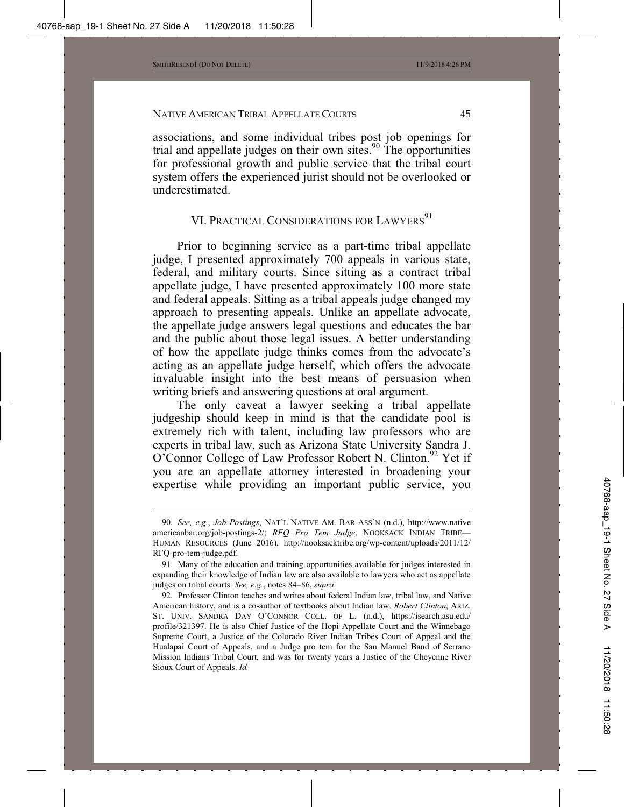associations, and some individual tribes post job openings for trial and appellate judges on their own sites.<sup>90</sup> The opportunities for professional growth and public service that the tribal court system offers the experienced jurist should not be overlooked or underestimated.

# VI. PRACTICAL CONSIDERATIONS FOR LAWYERS<sup>91</sup>

Prior to beginning service as a part-time tribal appellate judge, I presented approximately 700 appeals in various state, federal, and military courts. Since sitting as a contract tribal appellate judge, I have presented approximately 100 more state and federal appeals. Sitting as a tribal appeals judge changed my approach to presenting appeals. Unlike an appellate advocate, the appellate judge answers legal questions and educates the bar and the public about those legal issues. A better understanding of how the appellate judge thinks comes from the advocate's acting as an appellate judge herself, which offers the advocate invaluable insight into the best means of persuasion when writing briefs and answering questions at oral argument.

The only caveat a lawyer seeking a tribal appellate judgeship should keep in mind is that the candidate pool is extremely rich with talent, including law professors who are experts in tribal law, such as Arizona State University Sandra J. O'Connor College of Law Professor Robert N. Clinton.<sup>92</sup> Yet if you are an appellate attorney interested in broadening your expertise while providing an important public service, you

<sup>90</sup>*. See, e.g.*, *Job Postings*, NAT'L NATIVE AM. BAR ASS'N (n.d.), http://www.native americanbar.org/job-postings-2/; *RFQ Pro Tem Judge*, NOOKSACK INDIAN TRIBE— HUMAN RESOURCES (June 2016), http://nooksacktribe.org/wp-content/uploads/2011/12/ RFQ-pro-tem-judge.pdf.

<sup>91.</sup> Many of the education and training opportunities available for judges interested in expanding their knowledge of Indian law are also available to lawyers who act as appellate judges on tribal courts. *See, e.g.*, notes 84–86, *supra*.

<sup>92</sup>*.* Professor Clinton teaches and writes about federal Indian law, tribal law, and Native American history, and is a co-author of textbooks about Indian law. *Robert Clinton*, ARIZ. ST. UNIV. SANDRA DAY O'CONNOR COLL. OF L. (n.d.), https://isearch.asu.edu/ profile/321397. He is also Chief Justice of the Hopi Appellate Court and the Winnebago Supreme Court, a Justice of the Colorado River Indian Tribes Court of Appeal and the Hualapai Court of Appeals, and a Judge pro tem for the San Manuel Band of Serrano Mission Indians Tribal Court, and was for twenty years a Justice of the Cheyenne River Sioux Court of Appeals. *Id.*